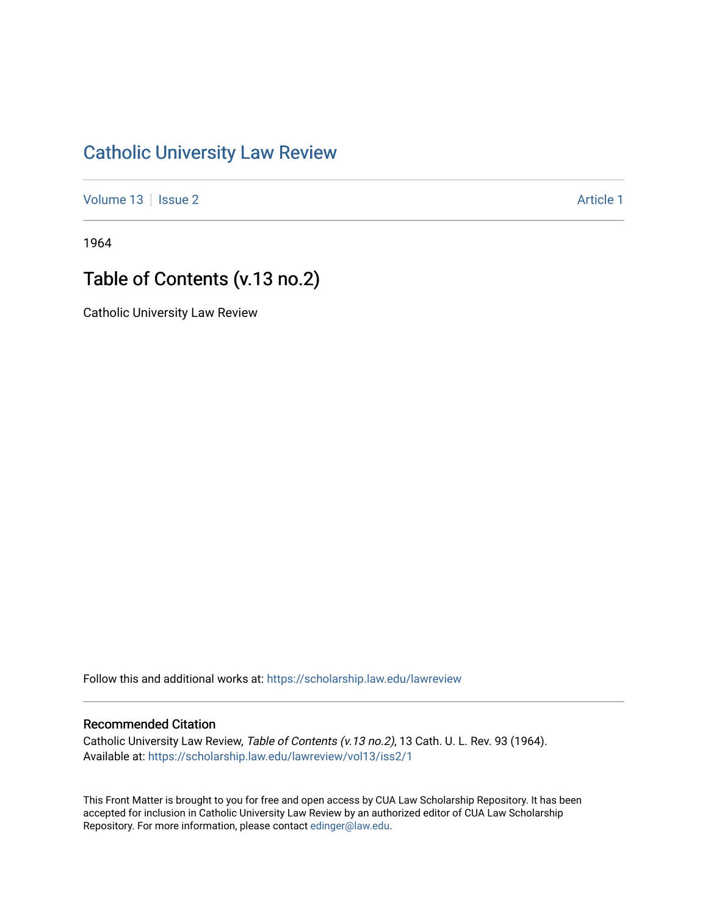### [Catholic University Law Review](https://scholarship.law.edu/lawreview)

[Volume 13](https://scholarship.law.edu/lawreview/vol13) | [Issue 2](https://scholarship.law.edu/lawreview/vol13/iss2) Article 1

1964

## Table of Contents (v.13 no.2)

Catholic University Law Review

Follow this and additional works at: [https://scholarship.law.edu/lawreview](https://scholarship.law.edu/lawreview?utm_source=scholarship.law.edu%2Flawreview%2Fvol13%2Fiss2%2F1&utm_medium=PDF&utm_campaign=PDFCoverPages)

#### Recommended Citation

Catholic University Law Review, Table of Contents (v.13 no.2), 13 Cath. U. L. Rev. 93 (1964). Available at: [https://scholarship.law.edu/lawreview/vol13/iss2/1](https://scholarship.law.edu/lawreview/vol13/iss2/1?utm_source=scholarship.law.edu%2Flawreview%2Fvol13%2Fiss2%2F1&utm_medium=PDF&utm_campaign=PDFCoverPages)

This Front Matter is brought to you for free and open access by CUA Law Scholarship Repository. It has been accepted for inclusion in Catholic University Law Review by an authorized editor of CUA Law Scholarship Repository. For more information, please contact [edinger@law.edu.](mailto:edinger@law.edu)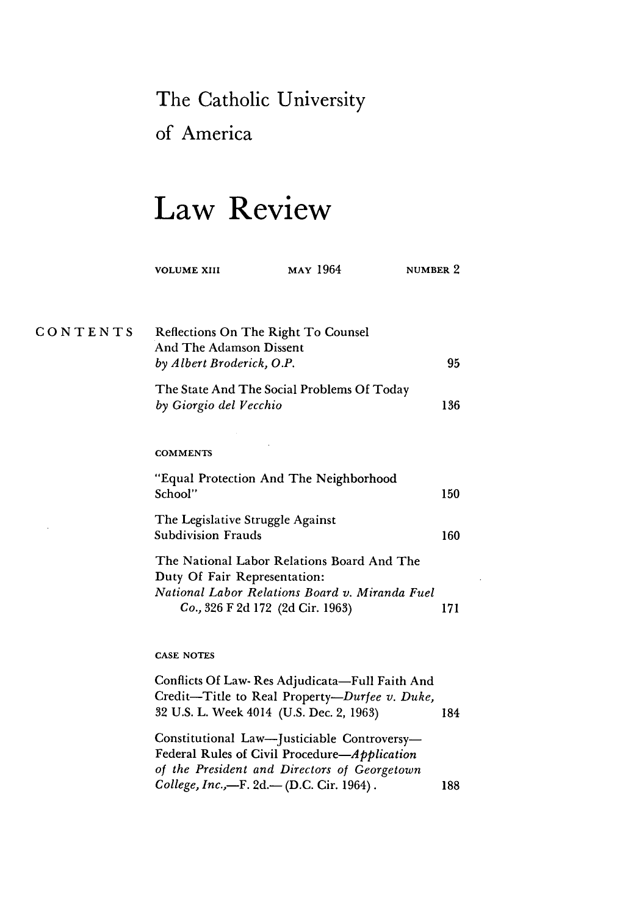### The Catholic University

of America

# **Law Review**

|          | <b>VOLUME XIII</b>                                                                                                                                               | <b>MAY</b> 1964 | NUMBER 2 |     |
|----------|------------------------------------------------------------------------------------------------------------------------------------------------------------------|-----------------|----------|-----|
| CONTENTS | <b>Reflections On The Right To Counsel</b><br>And The Adamson Dissent<br>by Albert Broderick, O.P.                                                               |                 |          | 95  |
|          | The State And The Social Problems Of Today<br>by Giorgio del Vecchio                                                                                             |                 |          | 136 |
|          | <b>COMMENTS</b>                                                                                                                                                  |                 |          |     |
|          | "Equal Protection And The Neighborhood<br>School"                                                                                                                |                 |          | 150 |
|          | The Legislative Struggle Against<br><b>Subdivision Frauds</b>                                                                                                    |                 |          | 160 |
|          | The National Labor Relations Board And The<br>Duty Of Fair Representation:<br>National Labor Relations Board v. Miranda Fuel<br>Co., 326 F 2d 172 (2d Cir. 1963) |                 |          | 171 |

#### **CASE NOTES**

Conflicts Of Law- Res Adjudicata-Full Faith And Credit-Title to Real Property-Durfee *v. Duke,* **32** U.S. L. Week 4014 (U.S. Dec. 2, 1963) 184 Constitutional Law-Justiciable Controversy-Federal Rules of Civil *Procedure-Application of the President and Directors of Georgetown College, Inc.,*-F. 2d.-(D.C. Cir. 1964). 188